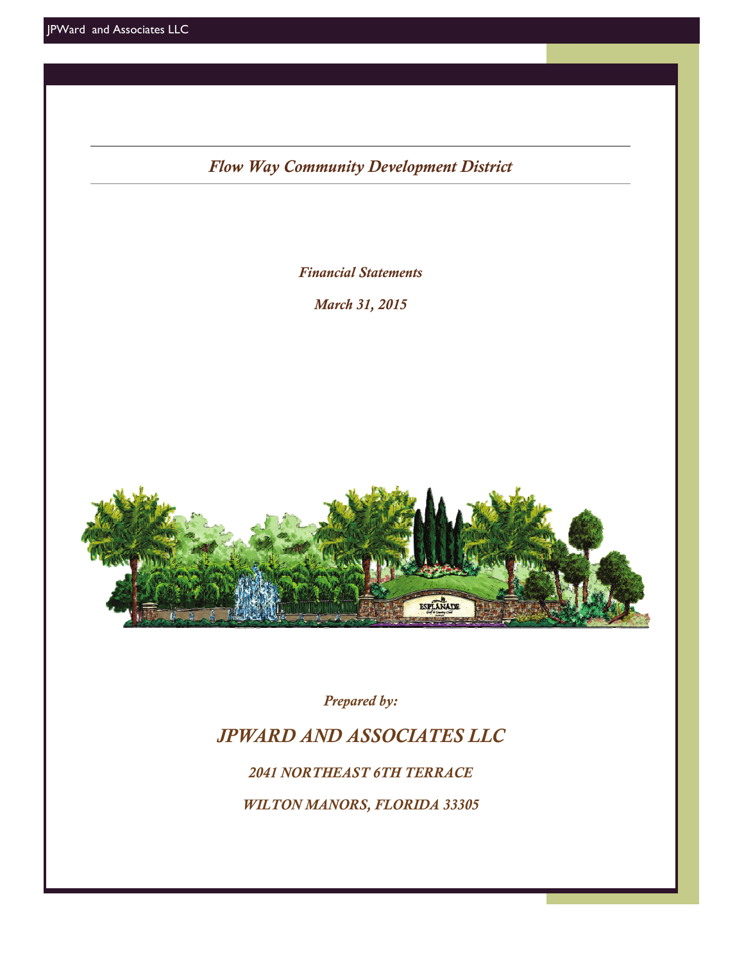*Flow Way Community Development District*

*Financial Statements* 

*March 31, 2015* 



*Prepared by:* 

# *JPWARD AND ASSOCIATES LLC*

*2041 NORTHEAST 6TH TERRACE* 

*WILTON MANORS, FLORIDA 33305*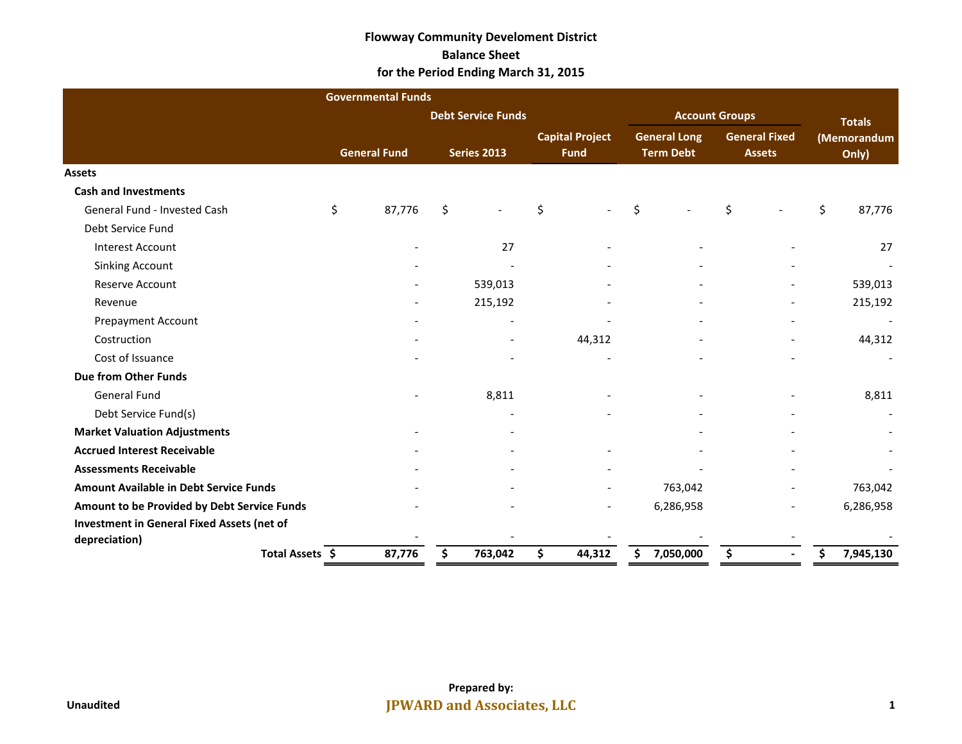#### **Flowway Community Develoment District Balance Sheet for the Period Ending March 31, 2015**

|                                                   | <b>Governmental Funds</b> |                           |                                       |    |                                         |    |                                       |                      |           |  |
|---------------------------------------------------|---------------------------|---------------------------|---------------------------------------|----|-----------------------------------------|----|---------------------------------------|----------------------|-----------|--|
|                                                   |                           | <b>Debt Service Funds</b> |                                       |    | <b>Account Groups</b>                   |    | <b>Totals</b>                         |                      |           |  |
|                                                   | <b>General Fund</b>       | <b>Series 2013</b>        | <b>Capital Project</b><br><b>Fund</b> |    | <b>General Long</b><br><b>Term Debt</b> |    | <b>General Fixed</b><br><b>Assets</b> | (Memorandum<br>Only) |           |  |
| <b>Assets</b>                                     |                           |                           |                                       |    |                                         |    |                                       |                      |           |  |
| <b>Cash and Investments</b>                       |                           |                           |                                       |    |                                         |    |                                       |                      |           |  |
| General Fund - Invested Cash                      | \$<br>87,776              | \$                        | \$                                    | \$ |                                         | \$ |                                       | \$                   | 87,776    |  |
| Debt Service Fund                                 |                           |                           |                                       |    |                                         |    |                                       |                      |           |  |
| <b>Interest Account</b>                           |                           | 27                        |                                       |    |                                         |    |                                       |                      | 27        |  |
| <b>Sinking Account</b>                            |                           |                           |                                       |    |                                         |    |                                       |                      |           |  |
| Reserve Account                                   |                           | 539,013                   |                                       |    |                                         |    |                                       |                      | 539,013   |  |
| Revenue                                           |                           | 215,192                   |                                       |    |                                         |    |                                       |                      | 215,192   |  |
| <b>Prepayment Account</b>                         |                           |                           |                                       |    |                                         |    | $\overline{\phantom{a}}$              |                      |           |  |
| Costruction                                       |                           |                           | 44,312                                |    |                                         |    |                                       |                      | 44,312    |  |
| Cost of Issuance                                  |                           |                           |                                       |    |                                         |    |                                       |                      |           |  |
| <b>Due from Other Funds</b>                       |                           |                           |                                       |    |                                         |    |                                       |                      |           |  |
| <b>General Fund</b>                               |                           | 8,811                     |                                       |    |                                         |    |                                       |                      | 8,811     |  |
| Debt Service Fund(s)                              |                           |                           |                                       |    |                                         |    |                                       |                      |           |  |
| <b>Market Valuation Adjustments</b>               |                           |                           |                                       |    |                                         |    |                                       |                      |           |  |
| <b>Accrued Interest Receivable</b>                |                           |                           |                                       |    |                                         |    |                                       |                      |           |  |
| <b>Assessments Receivable</b>                     |                           |                           |                                       |    |                                         |    |                                       |                      |           |  |
| <b>Amount Available in Debt Service Funds</b>     |                           |                           |                                       |    | 763,042                                 |    |                                       |                      | 763,042   |  |
| Amount to be Provided by Debt Service Funds       |                           |                           |                                       |    | 6,286,958                               |    |                                       |                      | 6,286,958 |  |
| <b>Investment in General Fixed Assets (net of</b> |                           |                           |                                       |    |                                         |    |                                       |                      |           |  |
| depreciation)                                     |                           |                           |                                       |    |                                         |    |                                       |                      |           |  |
| Total Assets \$                                   | 87,776                    | \$<br>763,042             | \$<br>44,312                          | Ś  | 7,050,000                               | \$ |                                       |                      | 7,945,130 |  |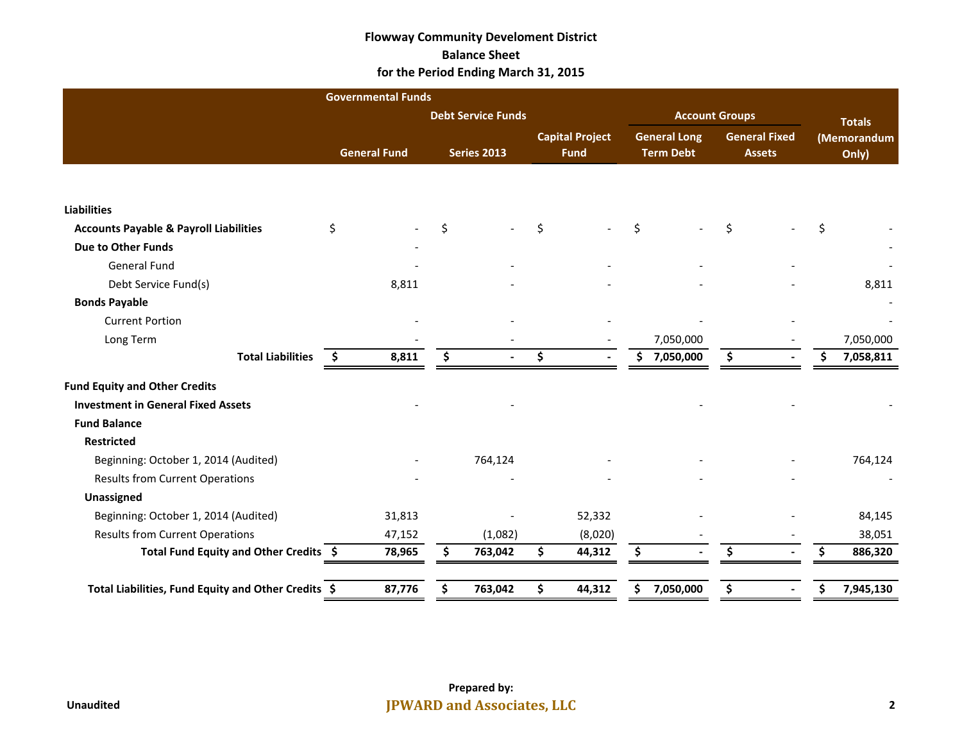#### **Flowway Community Develoment District Balance Sheet for the Period Ending March 31, 2015**

|                                                     | <b>Governmental Funds</b> |                           |     |                                       |                                         |                                       |                      |           |  |
|-----------------------------------------------------|---------------------------|---------------------------|-----|---------------------------------------|-----------------------------------------|---------------------------------------|----------------------|-----------|--|
|                                                     |                           | <b>Debt Service Funds</b> |     |                                       | <b>Account Groups</b>                   |                                       | <b>Totals</b>        |           |  |
|                                                     | <b>General Fund</b>       | <b>Series 2013</b>        |     | <b>Capital Project</b><br><b>Fund</b> | <b>General Long</b><br><b>Term Debt</b> | <b>General Fixed</b><br><b>Assets</b> | (Memorandum<br>Only) |           |  |
|                                                     |                           |                           |     |                                       |                                         |                                       |                      |           |  |
| <b>Liabilities</b>                                  |                           |                           |     |                                       |                                         |                                       |                      |           |  |
| <b>Accounts Payable &amp; Payroll Liabilities</b>   | \$                        | \$                        | \$  |                                       | \$                                      | \$                                    | \$                   |           |  |
| <b>Due to Other Funds</b>                           |                           |                           |     |                                       |                                         |                                       |                      |           |  |
| <b>General Fund</b>                                 |                           |                           |     |                                       |                                         |                                       |                      |           |  |
| Debt Service Fund(s)                                | 8,811                     |                           |     |                                       |                                         |                                       |                      | 8,811     |  |
| <b>Bonds Payable</b>                                |                           |                           |     |                                       |                                         |                                       |                      |           |  |
| <b>Current Portion</b>                              |                           |                           |     |                                       |                                         |                                       |                      |           |  |
| Long Term                                           |                           |                           |     |                                       | 7,050,000                               |                                       |                      | 7,050,000 |  |
| <b>Total Liabilities</b>                            | 8,811<br>\$.              | \$                        | \$  |                                       | \$<br>7,050,000                         | \$                                    | \$                   | 7,058,811 |  |
| <b>Fund Equity and Other Credits</b>                |                           |                           |     |                                       |                                         |                                       |                      |           |  |
| <b>Investment in General Fixed Assets</b>           |                           |                           |     |                                       |                                         |                                       |                      |           |  |
| <b>Fund Balance</b>                                 |                           |                           |     |                                       |                                         |                                       |                      |           |  |
| <b>Restricted</b>                                   |                           |                           |     |                                       |                                         |                                       |                      |           |  |
| Beginning: October 1, 2014 (Audited)                |                           | 764,124                   |     |                                       |                                         |                                       |                      | 764,124   |  |
| <b>Results from Current Operations</b>              |                           |                           |     |                                       |                                         |                                       |                      |           |  |
| Unassigned                                          |                           |                           |     |                                       |                                         |                                       |                      |           |  |
| Beginning: October 1, 2014 (Audited)                | 31,813                    |                           |     | 52,332                                |                                         |                                       |                      | 84,145    |  |
| <b>Results from Current Operations</b>              | 47,152                    | (1,082)                   |     | (8,020)                               |                                         |                                       |                      | 38,051    |  |
| Total Fund Equity and Other Credits \$              | 78,965                    | \$<br>763,042             | \$. | 44,312                                | \$                                      | \$                                    | \$.                  | 886,320   |  |
| Total Liabilities, Fund Equity and Other Credits \$ | 87,776                    | \$<br>763,042             | \$. | 44,312                                | \$<br>7,050,000                         | \$                                    | \$                   | 7,945,130 |  |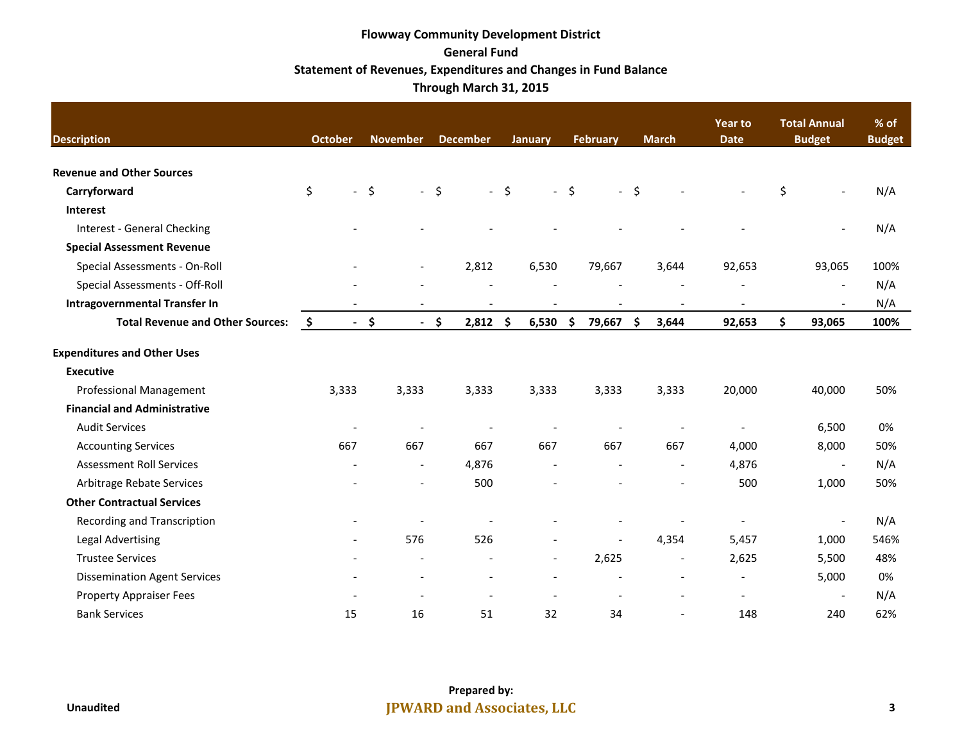## **Flowway Community Development District General Fund Statement of Revenues, Expenditures and Changes in Fund Balance Through March 31, 2015**

| <b>Description</b>                      | October | <b>November</b>          | <b>December</b>          | <b>January</b>           | <b>February</b> | <b>March</b>   | Year to<br><b>Date</b>   | <b>Total Annual</b><br><b>Budget</b> | % of<br><b>Budget</b> |  |
|-----------------------------------------|---------|--------------------------|--------------------------|--------------------------|-----------------|----------------|--------------------------|--------------------------------------|-----------------------|--|
| <b>Revenue and Other Sources</b>        |         |                          |                          |                          |                 |                |                          |                                      |                       |  |
| Carryforward                            | \$      | $-$ \$                   | $-5$                     | $-5$                     | $-5$            | $-5$           |                          | \$                                   | N/A                   |  |
| <b>Interest</b>                         |         |                          |                          |                          |                 |                |                          |                                      |                       |  |
| <b>Interest - General Checking</b>      |         |                          |                          |                          |                 |                |                          |                                      | N/A                   |  |
| <b>Special Assessment Revenue</b>       |         |                          |                          |                          |                 |                |                          |                                      |                       |  |
| Special Assessments - On-Roll           |         | $\overline{\phantom{a}}$ | 2,812                    | 6,530                    | 79,667          | 3,644          | 92,653                   | 93,065                               | 100%                  |  |
| Special Assessments - Off-Roll          |         |                          |                          |                          |                 |                |                          | $\overline{\phantom{a}}$             | N/A                   |  |
| <b>Intragovernmental Transfer In</b>    |         |                          |                          |                          |                 |                |                          |                                      | N/A                   |  |
| <b>Total Revenue and Other Sources:</b> | \$      | $-5$                     | $-$ \$<br>2,812          | \$<br>6,530              | \$<br>79,667    | \$<br>3,644    | 92,653                   | \$<br>93,065                         | 100%                  |  |
| <b>Expenditures and Other Uses</b>      |         |                          |                          |                          |                 |                |                          |                                      |                       |  |
| <b>Executive</b>                        |         |                          |                          |                          |                 |                |                          |                                      |                       |  |
| <b>Professional Management</b>          | 3,333   | 3,333                    | 3,333                    | 3,333                    | 3,333           | 3,333          | 20,000                   | 40,000                               | 50%                   |  |
| <b>Financial and Administrative</b>     |         |                          |                          |                          |                 |                |                          |                                      |                       |  |
| <b>Audit Services</b>                   |         |                          |                          |                          |                 |                | $\overline{\phantom{0}}$ | 6,500                                | 0%                    |  |
| <b>Accounting Services</b>              | 667     | 667                      | 667                      | 667                      | 667             | 667            | 4,000                    | 8,000                                | 50%                   |  |
| <b>Assessment Roll Services</b>         |         | $\overline{\phantom{a}}$ | 4,876                    |                          |                 |                | 4,876                    | $\overline{\phantom{a}}$             | N/A                   |  |
| Arbitrage Rebate Services               |         | $\tilde{\phantom{a}}$    | 500                      |                          |                 | $\overline{a}$ | 500                      | 1,000                                | 50%                   |  |
| <b>Other Contractual Services</b>       |         |                          |                          |                          |                 |                |                          |                                      |                       |  |
| Recording and Transcription             |         |                          |                          |                          |                 |                |                          |                                      | N/A                   |  |
| <b>Legal Advertising</b>                |         | 576                      | 526                      |                          |                 | 4,354          | 5,457                    | 1,000                                | 546%                  |  |
| <b>Trustee Services</b>                 |         | $\overline{\phantom{a}}$ |                          | $\overline{\phantom{a}}$ | 2,625           | $\overline{a}$ | 2,625                    | 5,500                                | 48%                   |  |
| <b>Dissemination Agent Services</b>     |         | $\overline{\phantom{a}}$ | $\overline{\phantom{a}}$ |                          |                 | $\overline{a}$ | $\overline{\phantom{a}}$ | 5,000                                | 0%                    |  |
| <b>Property Appraiser Fees</b>          |         |                          |                          |                          |                 |                | $\overline{a}$           | $\overline{\phantom{a}}$             | N/A                   |  |
| <b>Bank Services</b>                    | 15      | 16                       | 51                       | 32                       | 34              | $\overline{a}$ | 148                      | 240                                  | 62%                   |  |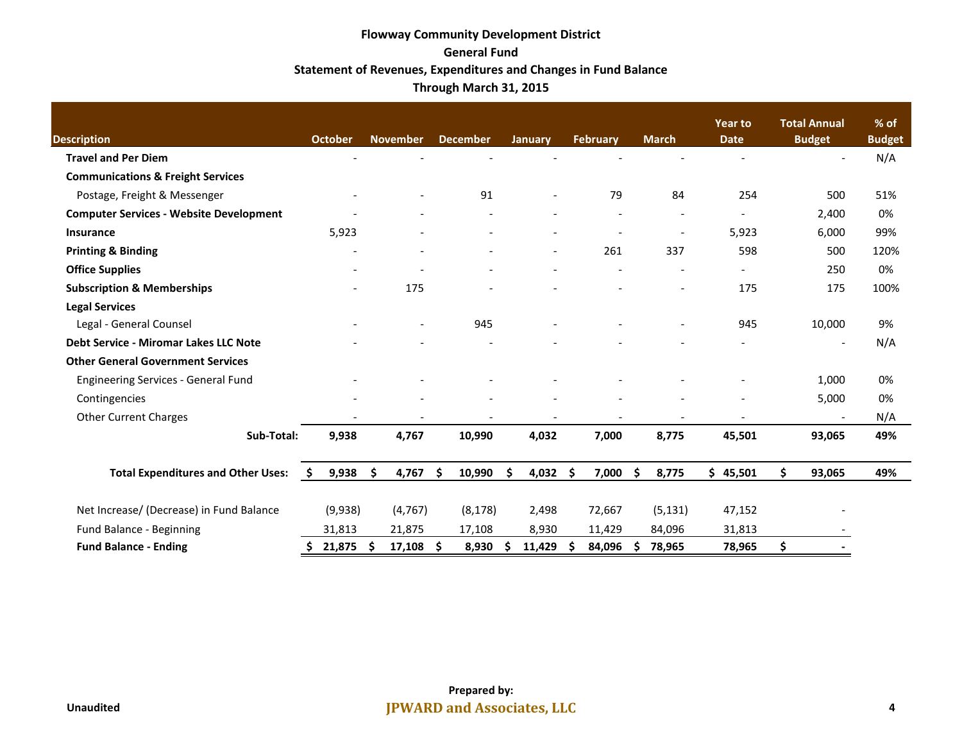## **Flowway Community Development District General Fund Statement of Revenues, Expenditures and Changes in Fund Balance Through March 31, 2015**

| <b>Description</b>                             | <b>October</b>           |     | <b>November</b>          |      | <b>December</b>          |    | January                  |     | February |     | <b>March</b>             | <b>Year to</b><br><b>Date</b> |    | <b>Total Annual</b><br><b>Budget</b> | $%$ of<br><b>Budget</b> |
|------------------------------------------------|--------------------------|-----|--------------------------|------|--------------------------|----|--------------------------|-----|----------|-----|--------------------------|-------------------------------|----|--------------------------------------|-------------------------|
| <b>Travel and Per Diem</b>                     |                          |     |                          |      |                          |    |                          |     |          |     |                          |                               |    |                                      | N/A                     |
| <b>Communications &amp; Freight Services</b>   |                          |     |                          |      |                          |    |                          |     |          |     |                          |                               |    |                                      |                         |
| Postage, Freight & Messenger                   |                          |     |                          |      | 91                       |    |                          |     | 79       |     | 84                       | 254                           |    | 500                                  | 51%                     |
| <b>Computer Services - Website Development</b> |                          |     |                          |      |                          |    |                          |     |          |     | $\overline{\phantom{a}}$ |                               |    | 2,400                                | 0%                      |
| <b>Insurance</b>                               | 5,923                    |     |                          |      |                          |    |                          |     |          |     | $\overline{\phantom{a}}$ | 5,923                         |    | 6,000                                | 99%                     |
| <b>Printing &amp; Binding</b>                  | $\overline{\phantom{a}}$ |     | $\overline{\phantom{a}}$ |      | $\overline{\phantom{a}}$ |    | $\overline{\phantom{a}}$ |     | 261      |     | 337                      | 598                           |    | 500                                  | 120%                    |
| <b>Office Supplies</b>                         | $\overline{\phantom{a}}$ |     |                          |      |                          |    |                          |     |          |     |                          |                               |    | 250                                  | 0%                      |
| <b>Subscription &amp; Memberships</b>          |                          |     | 175                      |      |                          |    |                          |     |          |     | $\overline{a}$           | 175                           |    | 175                                  | 100%                    |
| <b>Legal Services</b>                          |                          |     |                          |      |                          |    |                          |     |          |     |                          |                               |    |                                      |                         |
| Legal - General Counsel                        |                          |     | $\overline{\phantom{a}}$ |      | 945                      |    |                          |     |          |     | $\overline{\phantom{a}}$ | 945                           |    | 10,000                               | 9%                      |
| <b>Debt Service - Miromar Lakes LLC Note</b>   |                          |     |                          |      |                          |    |                          |     |          |     |                          |                               |    |                                      | N/A                     |
| <b>Other General Government Services</b>       |                          |     |                          |      |                          |    |                          |     |          |     |                          |                               |    |                                      |                         |
| <b>Engineering Services - General Fund</b>     |                          |     |                          |      |                          |    |                          |     |          |     |                          |                               |    | 1,000                                | 0%                      |
| Contingencies                                  |                          |     |                          |      |                          |    |                          |     |          |     |                          |                               |    | 5,000                                | 0%                      |
| <b>Other Current Charges</b>                   |                          |     |                          |      |                          |    |                          |     |          |     |                          |                               |    |                                      | N/A                     |
| Sub-Total:                                     | 9,938                    |     | 4,767                    |      | 10,990                   |    | 4,032                    |     | 7,000    |     | 8,775                    | 45,501                        |    | 93,065                               | 49%                     |
| <b>Total Expenditures and Other Uses:</b>      | \$<br>9,938              | Ŝ.  | 4,767                    | Ŝ.   | 10,990                   | \$ | 4,032                    | -\$ | 7,000    | \$  | 8,775                    | \$45,501                      | Ś. | 93,065                               | 49%                     |
| Net Increase/ (Decrease) in Fund Balance       | (9,938)                  |     | (4, 767)                 |      | (8, 178)                 |    | 2,498                    |     | 72,667   |     | (5, 131)                 | 47,152                        |    |                                      |                         |
| Fund Balance - Beginning                       | 31,813                   |     | 21,875                   |      | 17,108                   |    | 8,930                    |     | 11,429   |     | 84,096                   | 31,813                        |    |                                      |                         |
| <b>Fund Balance - Ending</b>                   | \$<br>21,875             | -\$ | 17,108                   | - \$ | 8,930                    | S  | 11,429                   | Ŝ   | 84,096   | \$. | 78,965                   | 78,965                        | \$ |                                      |                         |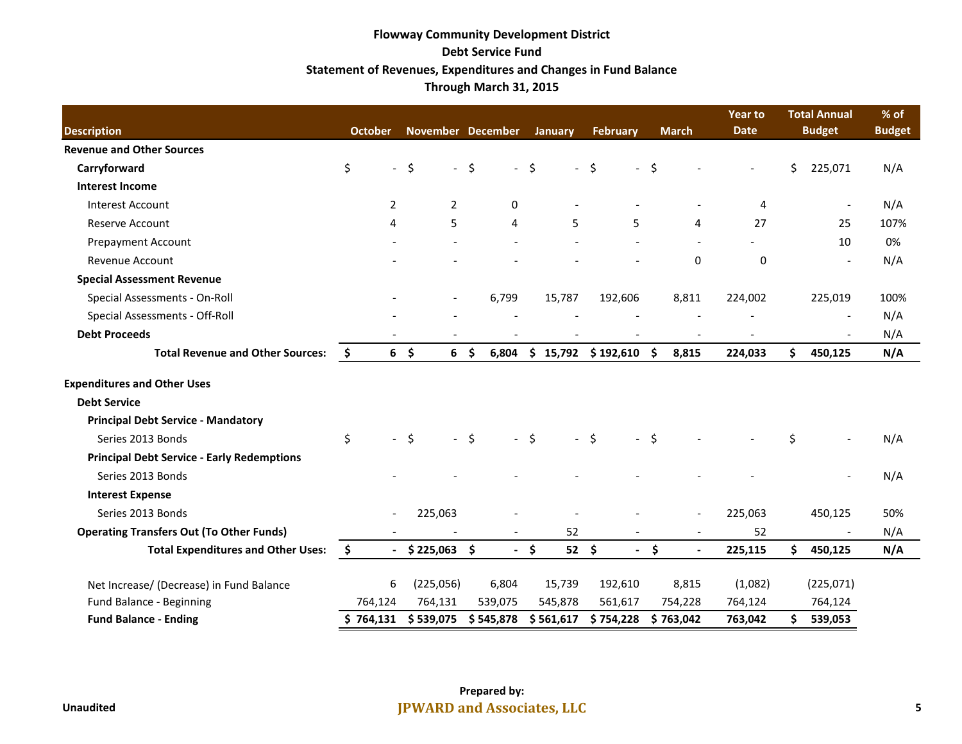## **Flowway Community Development District Debt Service Fund Statement of Revenues, Expenditures and Changes in Fund Balance Through March 31, 2015**

| <b>Description</b>                                |    | <b>October</b>            | November December        |                |                          | <b>January</b> |                          | <b>February</b>         | <b>March</b> |           | <b>Year to</b><br><b>Date</b> |     | <b>Total Annual</b><br><b>Budget</b> | % of<br><b>Budget</b> |
|---------------------------------------------------|----|---------------------------|--------------------------|----------------|--------------------------|----------------|--------------------------|-------------------------|--------------|-----------|-------------------------------|-----|--------------------------------------|-----------------------|
| <b>Revenue and Other Sources</b>                  |    |                           |                          |                |                          |                |                          |                         |              |           |                               |     |                                      |                       |
| Carryforward                                      | \$ | $\mathbb{L}^{\mathbb{N}}$ | \$                       | $-5$           | $\overline{\phantom{a}}$ | \$             | $\overline{\phantom{a}}$ | \$                      | $-5$         |           |                               | \$  | 225,071                              | N/A                   |
| <b>Interest Income</b>                            |    |                           |                          |                |                          |                |                          |                         |              |           |                               |     |                                      |                       |
| <b>Interest Account</b>                           |    | $\overline{2}$            | $\overline{2}$           |                | $\mathbf{0}$             |                |                          |                         |              |           | 4                             |     |                                      | N/A                   |
| <b>Reserve Account</b>                            |    | 4                         | 5                        |                | 4                        |                | 5                        | 5                       |              | 4         | 27                            |     | 25                                   | 107%                  |
| <b>Prepayment Account</b>                         |    |                           |                          |                |                          |                |                          |                         |              |           |                               |     | 10                                   | 0%                    |
| <b>Revenue Account</b>                            |    |                           |                          |                |                          |                |                          |                         |              | 0         | 0                             |     |                                      | N/A                   |
| <b>Special Assessment Revenue</b>                 |    |                           |                          |                |                          |                |                          |                         |              |           |                               |     |                                      |                       |
| Special Assessments - On-Roll                     |    |                           | $\overline{\phantom{a}}$ |                | 6,799                    |                | 15,787                   | 192,606                 |              | 8,811     | 224,002                       |     | 225,019                              | 100%                  |
| Special Assessments - Off-Roll                    |    |                           |                          |                |                          |                |                          |                         |              |           |                               |     | $\overline{\phantom{a}}$             | N/A                   |
| <b>Debt Proceeds</b>                              |    |                           |                          |                |                          |                |                          |                         |              |           |                               |     |                                      | N/A                   |
| <b>Total Revenue and Other Sources:</b>           | \$ | $6\frac{2}{3}$            |                          | 6 <sup>5</sup> | 6,804                    |                |                          | $$15,792$ $$192,610$ \$ |              | 8,815     | 224,033                       | \$. | 450,125                              | N/A                   |
| <b>Expenditures and Other Uses</b>                |    |                           |                          |                |                          |                |                          |                         |              |           |                               |     |                                      |                       |
| <b>Debt Service</b>                               |    |                           |                          |                |                          |                |                          |                         |              |           |                               |     |                                      |                       |
| <b>Principal Debt Service - Mandatory</b>         |    |                           |                          |                |                          |                |                          |                         |              |           |                               |     |                                      |                       |
| Series 2013 Bonds                                 | \$ | $\overline{a}$            | Ŝ.                       | $-5$           |                          | Ŝ.             | $\overline{a}$           | \$<br>$\sim$            | -Ś           |           |                               | \$  |                                      | N/A                   |
| <b>Principal Debt Service - Early Redemptions</b> |    |                           |                          |                |                          |                |                          |                         |              |           |                               |     |                                      |                       |
| Series 2013 Bonds                                 |    |                           |                          |                |                          |                |                          |                         |              |           |                               |     |                                      | N/A                   |
| <b>Interest Expense</b>                           |    |                           |                          |                |                          |                |                          |                         |              |           |                               |     |                                      |                       |
| Series 2013 Bonds                                 |    | $\blacksquare$            | 225,063                  |                |                          |                |                          |                         |              |           | 225,063                       |     | 450,125                              | 50%                   |
| <b>Operating Transfers Out (To Other Funds)</b>   |    |                           |                          |                |                          |                | 52                       |                         |              |           | 52                            |     |                                      | N/A                   |
| <b>Total Expenditures and Other Uses:</b>         | \$ | $\sim$                    | $$225,063$ \$            |                |                          | $-$ \$         | $52 \quad $$             | $\sim$                  | \$           |           | 225,115                       | Ś.  | 450,125                              | N/A                   |
| Net Increase/ (Decrease) in Fund Balance          |    | 6                         | (225,056)                |                | 6,804                    |                | 15,739                   | 192,610                 |              | 8,815     | (1,082)                       |     | (225,071)                            |                       |
| Fund Balance - Beginning                          |    | 764,124                   | 764,131                  |                | 539,075                  |                | 545,878                  | 561,617                 |              | 754,228   | 764,124                       |     | 764,124                              |                       |
| <b>Fund Balance - Ending</b>                      |    | \$764,131                 | \$539,075                |                | \$545,878                |                | \$561,617                | \$754,228               |              | \$763,042 | 763,042                       | \$  | 539,053                              |                       |